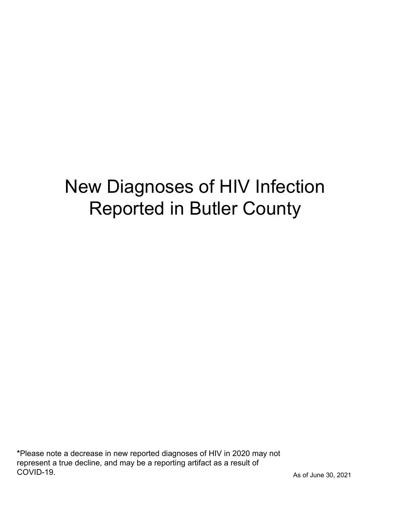# New Diagnoses of HIV Infection Reported in Butler County

\*Please note a decrease in new reported diagnoses of HIV in 2020 may not represent a true decline, and may be a reporting artifact as a result of COVID-19.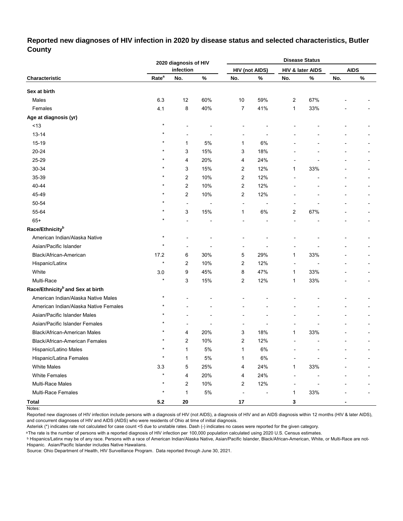## **Reported new diagnoses of HIV infection in 2020 by disease status and selected characteristics, Butler County**

|                                              |                   | 2020 diagnosis of HIV |       |                          |                       |                          | <b>Disease Status</b> |     |             |
|----------------------------------------------|-------------------|-----------------------|-------|--------------------------|-----------------------|--------------------------|-----------------------|-----|-------------|
|                                              |                   | infection             |       |                          | <b>HIV (not AIDS)</b> |                          | HIV & later AIDS      |     | <b>AIDS</b> |
| Characteristic                               | Rate <sup>a</sup> | No.                   | $\%$  | No.                      | %                     | No.                      | $\%$                  | No. | $\%$        |
| Sex at birth                                 |                   |                       |       |                          |                       |                          |                       |     |             |
| Males                                        | 6.3               | 12                    | 60%   | 10                       | 59%                   | 2                        | 67%                   |     |             |
| Females                                      | 4.1               | 8                     | 40%   | $\overline{7}$           | 41%                   | $\mathbf{1}$             | 33%                   |     |             |
| Age at diagnosis (yr)                        |                   |                       |       |                          |                       |                          |                       |     |             |
| ~13                                          | $\star$           |                       |       |                          |                       |                          |                       |     |             |
| $13 - 14$                                    | $\star$           | $\blacksquare$        |       |                          |                       |                          |                       |     |             |
| 15-19                                        | $\star$           | 1                     | 5%    | 1                        | 6%                    |                          |                       |     |             |
| 20-24                                        | $\star$           | 3                     | 15%   | 3                        | 18%                   |                          |                       |     |             |
| 25-29                                        | $\star$           | 4                     | 20%   | 4                        | 24%                   |                          |                       |     |             |
| 30-34                                        | $\star$           | 3                     | 15%   | 2                        | 12%                   | 1                        | 33%                   |     |             |
| 35-39                                        | $\star$           | 2                     | 10%   | 2                        | 12%                   |                          |                       |     |             |
| 40-44                                        | $\star$           | $\overline{c}$        | 10%   | 2                        | 12%                   |                          |                       |     |             |
| 45-49                                        | $\star$           | 2                     | 10%   | 2                        | 12%                   |                          |                       |     |             |
| 50-54                                        | $\star$           | $\overline{a}$        |       | ÷,                       | ÷                     |                          |                       |     |             |
| 55-64                                        | $\star$           | 3                     | 15%   | $\mathbf{1}$             | 6%                    | $\overline{\mathbf{c}}$  | 67%                   |     |             |
| $65+$                                        | $\star$           | L,                    |       | $\overline{a}$           |                       |                          |                       |     |             |
| Race/Ethnicity <sup>b</sup>                  |                   |                       |       |                          |                       |                          |                       |     |             |
| American Indian/Alaska Native                | $\star$           |                       |       |                          |                       |                          |                       |     |             |
| Asian/Pacific Islander                       | $\star$           | ÷,                    |       |                          |                       |                          |                       |     |             |
| Black/African-American                       | 17.2              | 6                     | 30%   | 5                        | 29%                   | $\mathbf{1}$             | 33%                   |     |             |
| Hispanic/Latinx                              | $\star$           | 2                     | 10%   | 2                        | 12%                   | $\overline{\phantom{a}}$ |                       |     | ٠           |
| White                                        | 3.0               | 9                     | 45%   | 8                        | 47%                   | 1                        | 33%                   |     |             |
| Multi-Race                                   | $\star$           | 3                     | 15%   | 2                        | 12%                   | $\mathbf{1}$             | 33%                   |     |             |
| Race/Ethnicity <sup>b</sup> and Sex at birth |                   |                       |       |                          |                       |                          |                       |     |             |
| American Indian/Alaska Native Males          | $\star$           |                       |       |                          |                       |                          |                       |     |             |
| American Indian/Alaska Native Females        | $\star$           |                       |       |                          |                       |                          |                       |     |             |
| Asian/Pacific Islander Males                 |                   |                       |       |                          |                       |                          |                       |     |             |
| Asian/Pacific Islander Females               |                   |                       |       |                          |                       |                          |                       |     |             |
| Black/African-American Males                 |                   | 4                     | 20%   | 3                        | 18%                   | 1                        | 33%                   |     |             |
| Black/African-American Females               | $\star$           | 2                     | 10%   | 2                        | 12%                   |                          |                       |     |             |
| Hispanic/Latino Males                        | $\star$           | 1                     | 5%    | $\mathbf{1}$             | $6\%$                 |                          |                       |     |             |
| Hispanic/Latina Females                      | $\star$           | $\mathbf{1}$          | 5%    | 1                        | $6\%$                 |                          |                       |     |             |
| <b>White Males</b>                           | 3.3               | 5                     | 25%   | 4                        | 24%                   | $\mathbf{1}$             | 33%                   |     |             |
| <b>White Females</b>                         | $\star$           | 4                     | 20%   | 4                        | 24%                   |                          |                       |     |             |
| Multi-Race Males                             | $\star$           | 2                     | 10%   | $\overline{c}$           | 12%                   |                          |                       |     |             |
| Multi-Race Females                           | $\star$           | $\mathbf{1}$          | $5\%$ | $\overline{\phantom{a}}$ |                       | $\mathbf{1}$             | 33%                   |     |             |
| <b>Total</b>                                 | $5.2$             | ${\bf 20}$            |       | $17\,$                   |                       | 3                        |                       |     |             |

Notes:

Reported new diagnoses of HIV infection include persons with a diagnosis of HIV (not AIDS), a diagnosis of HIV and an AIDS diagnosis within 12 months (HIV & later AIDS), and concurrent diagnoses of HIV and AIDS (AIDS) who were residents of Ohio at time of initial diagnosis.

Asterisk (\*) indicates rate not calculated for case count <5 due to unstable rates. Dash (-) indicates no cases were reported for the given category.

<sup>a</sup>The rate is the number of persons with a reported diagnosis of HIV infection per 100,000 population calculated using 2020 U.S. Census estimates.

ᵇ Hispanics/Latinx may be of any race. Persons with a race of American Indian/Alaska Native, Asian/Pacific Islander, Black/African-American, White, or Multi-Race are not-Hispanic. Asian/Pacific Islander includes Native Hawaiians.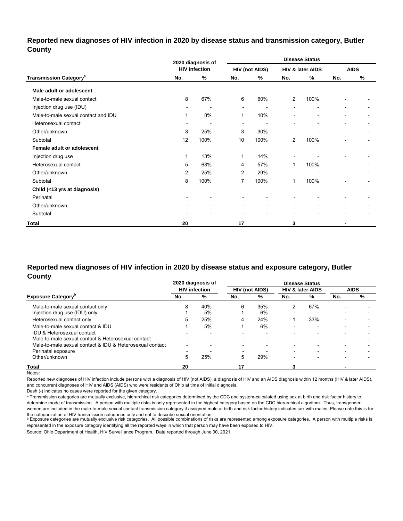#### **Reported new diagnoses of HIV infection in 2020 by disease status and transmission category, Butler County**

|                                          |     | 2020 diagnosis of    |                |                          |                          | <b>Disease Status</b>    |                          |             |
|------------------------------------------|-----|----------------------|----------------|--------------------------|--------------------------|--------------------------|--------------------------|-------------|
|                                          |     | <b>HIV infection</b> |                | <b>HIV (not AIDS)</b>    |                          | HIV & later AIDS         |                          | <b>AIDS</b> |
| <b>Transmission Category<sup>a</sup></b> | No. | %                    | No.            | %                        | No.                      | %                        | No.                      | %           |
| Male adult or adolescent                 |     |                      |                |                          |                          |                          |                          |             |
| Male-to-male sexual contact              | 8   | 67%                  | 6              | 60%                      | $\overline{2}$           | 100%                     |                          |             |
| Injection drug use (IDU)                 |     |                      | $\blacksquare$ |                          |                          | $\overline{\phantom{0}}$ | $\sim$                   |             |
| Male-to-male sexual contact and IDU      | 1   | 8%                   | 1              | 10%                      |                          | $\blacksquare$           | $\overline{\phantom{0}}$ |             |
| Heterosexual contact                     | ٠   |                      | $\blacksquare$ | $\overline{\phantom{a}}$ |                          | $\blacksquare$           |                          |             |
| Other/unknown                            | 3   | 25%                  | 3              | 30%                      |                          |                          | $\overline{\phantom{0}}$ |             |
| Subtotal                                 | 12  | 100%                 | 10             | 100%                     | $\overline{2}$           | 100%                     | $\overline{\phantom{0}}$ | -           |
| Female adult or adolescent               |     |                      |                |                          |                          |                          |                          |             |
| Injection drug use                       | 1   | 13%                  | 1              | 14%                      |                          |                          |                          |             |
| Heterosexual contact                     | 5   | 63%                  | 4              | 57%                      |                          | 100%                     |                          |             |
| Other/unknown                            | 2   | 25%                  | 2              | 29%                      |                          |                          |                          |             |
| Subtotal                                 | 8   | 100%                 | 7              | 100%                     | 1                        | 100%                     | ٠                        | ٠           |
| Child (<13 yrs at diagnosis)             |     |                      |                |                          |                          |                          |                          |             |
| Perinatal                                |     |                      |                |                          |                          |                          |                          |             |
| Other/unknown                            |     |                      |                | $\overline{\phantom{a}}$ |                          | $\blacksquare$           |                          |             |
| Subtotal                                 |     |                      |                | $\blacksquare$           | $\overline{\phantom{0}}$ | $\blacksquare$           | ٠                        |             |
| Total                                    | 20  |                      | 17             |                          | 3                        |                          |                          |             |

#### **Reported new diagnoses of HIV infection in 2020 by disease status and exposure category, Butler County**

|                                                          |                          | 2020 diagnosis of        |                          |                          |                          | <b>Disease Status</b>       |                          |             |
|----------------------------------------------------------|--------------------------|--------------------------|--------------------------|--------------------------|--------------------------|-----------------------------|--------------------------|-------------|
|                                                          |                          | <b>HIV infection</b>     |                          | <b>HIV (not AIDS)</b>    |                          | <b>HIV &amp; later AIDS</b> |                          | <b>AIDS</b> |
| <b>Exposure Category</b> <sup>p</sup>                    | No.                      | %                        | No.                      | %                        | No.                      | %                           | No.                      | %           |
| Male-to-male sexual contact only                         | 8                        | 40%                      | 6                        | 35%                      |                          | 67%                         |                          |             |
| Injection drug use (IDU) only                            |                          | 5%                       |                          | 6%                       | $\overline{\phantom{0}}$ |                             |                          |             |
| Heterosexual contact only                                | 5                        | 25%                      | 4                        | 24%                      |                          | 33%                         |                          |             |
| Male-to-male sexual contact & IDU                        |                          | 5%                       |                          | 6%                       | $\overline{\phantom{0}}$ | $\overline{\phantom{0}}$    | $\overline{\phantom{0}}$ |             |
| IDU & Heterosexual contact                               |                          |                          | $\overline{\phantom{a}}$ |                          | -                        |                             |                          |             |
| Male-to-male sexual contact & Heterosexual contact       | $\overline{\phantom{0}}$ | $\overline{\phantom{0}}$ | $\overline{\phantom{a}}$ | $\overline{\phantom{0}}$ | $\overline{\phantom{0}}$ | -                           |                          |             |
| Male-to-male sexual contact & IDU & Heterosexual contact | -                        |                          | $\overline{\phantom{a}}$ | $\overline{\phantom{0}}$ | $\overline{\phantom{0}}$ |                             |                          |             |
| Perinatal exposure                                       |                          |                          |                          |                          | -                        |                             |                          |             |
| Other/unknown                                            | 5                        | 25%                      | 5                        | 29%                      | -                        |                             |                          |             |
| Total                                                    | 20                       |                          |                          |                          |                          |                             |                          |             |

Notes:

Reported new diagnoses of HIV infection include persons with a diagnosis of HIV (not AIDS), a diagnosis of HIV and an AIDS diagnosis within 12 months (HIV & later AIDS), and concurrent diagnoses of HIV and AIDS (AIDS) who were residents of Ohio at time of initial diagnosis.

Dash (-) indicates no cases were reported for the given category.

a Transmission categories are mutually exclusive, hierarchical risk categories determined by the CDC and system-calculated using sex at birth and risk factor history to determine mode of transmission. A person with multiple risks is only represented in the highest category based on the CDC hierarchical algorithm. Thus, transgender women are included in the male-to-male sexual contact transmission category if assigned male at birth and risk factor history indicates sex with males. Please note this is for

the cateqorization of HIV transmission cateqories only and not to describe sexual orientation.<br>▷ Exposure categories are mutually exclusive risk categories. All possible combinations of risks are represented among exposu represented in the exposure category identifying all the reported ways in which that person may have been exposed to HIV.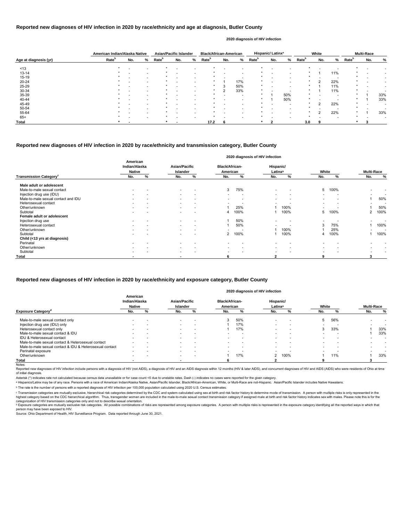|                       | American Indian/Alaska Native |     |                          | <b>Asian/Pacific Islander</b> |     |   | <b>Black/African-American</b> |     |                          |                   | Hispanic/ Latinx <sup>a</sup> |     |                   | White                    |                          |                   | <b>Multi-Race</b> |     |
|-----------------------|-------------------------------|-----|--------------------------|-------------------------------|-----|---|-------------------------------|-----|--------------------------|-------------------|-------------------------------|-----|-------------------|--------------------------|--------------------------|-------------------|-------------------|-----|
| Age at diagnosis (yr) | Rate <sup>b</sup>             | No. | %                        | <b>Rate</b> <sup>b</sup>      | No. | % | Rate <sup>b</sup>             | No. | %                        | Rate <sup>b</sup> | No.                           | %   | Rate <sup>b</sup> | No.                      | %                        | Rate <sup>b</sup> | No.               | %   |
| ~13                   |                               |     |                          |                               |     |   |                               |     |                          |                   |                               |     |                   |                          |                          |                   |                   |     |
| $13 - 14$             |                               |     |                          |                               |     |   |                               |     |                          |                   |                               |     |                   |                          | 11%                      |                   |                   |     |
| 15-19                 |                               |     | $\overline{\phantom{0}}$ |                               |     |   |                               |     | . .                      |                   |                               |     |                   | $\overline{\phantom{a}}$ | $\overline{\phantom{a}}$ |                   |                   |     |
| 20-24                 |                               |     |                          |                               |     |   |                               |     | 17%                      |                   |                               |     |                   | $\mathcal{L}$            | 22%                      |                   |                   |     |
| 25-29                 |                               |     |                          |                               |     |   |                               |     | 50%                      | *                 |                               |     |                   |                          | 11%                      |                   |                   |     |
| 30-34                 |                               |     |                          |                               |     |   |                               |     | 33%                      |                   |                               |     |                   |                          | 11%                      |                   |                   |     |
| 35-39                 |                               |     |                          |                               |     |   |                               |     | $\overline{\phantom{0}}$ |                   |                               | 50% |                   |                          |                          |                   |                   | 33% |
| 40-44                 |                               |     |                          |                               |     |   |                               |     | $\overline{\phantom{0}}$ |                   |                               | 50% |                   |                          |                          |                   |                   | 33% |
| 45-49                 |                               |     |                          |                               |     |   |                               |     |                          |                   |                               |     |                   | $\mathcal{L}$            | 22%                      |                   |                   |     |
| 50-54                 |                               |     |                          |                               |     |   |                               |     |                          |                   |                               |     |                   |                          |                          |                   |                   |     |
| 55-64                 |                               |     |                          |                               |     |   |                               |     |                          |                   |                               |     |                   | $\mathcal{L}$            | 22%                      |                   |                   | 33% |
| $65+$                 |                               |     |                          |                               |     |   |                               |     |                          |                   |                               |     |                   |                          |                          |                   |                   |     |
| Total                 |                               |     |                          |                               |     |   | 17.2                          |     |                          |                   |                               |     | 3.0               |                          |                          |                   |                   |     |

Reported new diagnoses of HIV infection include persons with a diagnosis of HIV (not AIDS), a diagnosis of HIV and an AIDS diagnosis within 12 months (HIV & later AIDS), and concurrent diagnoses of HIV and AIDS (AIDS) who of initial diagnosis.

|                                           |                                            |   |                                  |                          |                                   |                          | 2020 diagnosis of HIV infection  |                          |                          |      |                          |                          |
|-------------------------------------------|--------------------------------------------|---|----------------------------------|--------------------------|-----------------------------------|--------------------------|----------------------------------|--------------------------|--------------------------|------|--------------------------|--------------------------|
|                                           | American<br>Indian/Alaska<br><b>Native</b> |   | <b>Asian/Pacific</b><br>Islander |                          | <b>Black/African-</b><br>American |                          | Hispanic/<br>Latinx <sup>a</sup> |                          | White                    |      | <b>Multi-Race</b>        |                          |
| <b>Transmission Category</b> <sup>c</sup> | No.                                        | % | No.                              | %                        | No.                               | %                        | No.                              | %                        | No.                      | %    | No.                      | $\%$                     |
| Male adult or adolescent                  |                                            |   |                                  |                          |                                   |                          |                                  |                          |                          |      |                          |                          |
| Male-to-male sexual contact               |                                            |   | $\sim$                           |                          | 3                                 | 75%                      | $\overline{\phantom{0}}$         | $\overline{\phantom{a}}$ | 5                        | 100% |                          |                          |
| Injection drug use (IDU)                  |                                            |   | $\sim$                           | $\overline{\phantom{0}}$ | $\overline{\phantom{0}}$          | $\overline{\phantom{a}}$ | $\overline{\phantom{0}}$         | $\overline{\phantom{0}}$ |                          |      |                          | $\overline{\phantom{0}}$ |
| Male-to-male sexual contact and IDU       |                                            |   | $\sim$                           | $\overline{\phantom{a}}$ | $\overline{\phantom{0}}$          | $\overline{\phantom{a}}$ | $\overline{\phantom{0}}$         |                          | $\overline{\phantom{a}}$ |      |                          | 50%                      |
| Heterosexual contact                      |                                            |   | $\sim$                           | $\overline{\phantom{0}}$ | $\overline{\phantom{0}}$          |                          |                                  |                          | $\overline{\phantom{0}}$ |      | $\overline{\phantom{0}}$ |                          |
| Other/unknown                             | $\overline{\phantom{0}}$                   |   | $\sim$                           | $\overline{\phantom{a}}$ |                                   | 25%                      |                                  | 100%                     | $\overline{\phantom{a}}$ |      |                          | 50%                      |
| Subtotal                                  |                                            |   |                                  |                          | 4                                 | 100%                     |                                  | 100%                     | 5                        | 100% | $\overline{2}$           | 100%                     |
| Female adult or adolescent                |                                            |   |                                  |                          |                                   |                          |                                  |                          |                          |      |                          |                          |
| Injection drug use                        |                                            |   |                                  | $\overline{\phantom{a}}$ |                                   | 50%                      |                                  |                          |                          |      |                          |                          |
| Heterosexual contact                      |                                            |   | $\sim$                           | $\overline{\phantom{0}}$ |                                   | 50%                      |                                  |                          | 3                        | 75%  |                          | 100%                     |
| Other/unknown                             |                                            |   | $\sim$                           | $\overline{\phantom{a}}$ | $\overline{\phantom{0}}$          | . .                      |                                  | 100%                     |                          | 25%  | $\overline{\phantom{0}}$ |                          |
| Subtotal                                  |                                            |   |                                  |                          | 2                                 | 100%                     |                                  | 100%                     |                          | 100% |                          | 100%                     |
| Child (<13 yrs at diagnosis)              |                                            |   |                                  |                          |                                   |                          |                                  |                          |                          |      |                          |                          |
| Perinatal                                 |                                            |   |                                  |                          |                                   |                          |                                  |                          |                          |      |                          |                          |
| Other/unknown                             |                                            |   | $\sim$                           | $\overline{\phantom{0}}$ |                                   | $\overline{\phantom{0}}$ |                                  | $\overline{\phantom{0}}$ |                          |      |                          |                          |
| Subtotal                                  |                                            |   | $\sim$                           |                          | $\overline{\phantom{0}}$          |                          | $\overline{\phantom{0}}$         |                          |                          |      |                          |                          |
| <b>Total</b>                              |                                            |   | $\overline{\phantom{0}}$         |                          | 6                                 |                          |                                  |                          | 9                        |      | 3                        |                          |

© Transmission categories are mutually exclusive, hierarchical risk categories determined by the CDC and system-calculated using sex at birth and risk factor history to determine mode of transmission. A person with multip highest category based on the CDC hierarchical algorithm. Thus, transgender women are included in the male-to-male sexual contact transmission category if assigned male at birth and risk factor history indicates sex with m categorization of HIV transmission categories only and not to describe sexual orientation.

#### **Reported new diagnoses of HIV infection in 2020 by race/ethnicity and age at diagnosis, Butler County**

<sup>d</sup> Exposure categories are mutually exclusive risk categories. All possible combinations of risks are represented among exposure categories. A person with multiple risks is represented in the exposure category identifyin person may have been exposed to HIV.

#### **2020 diagnosis of HIV infection**

#### **Reported new diagnoses of HIV infection in 2020 by race/ethnicity and transmission category, Butler County**

Source: Ohio Department of Health, HIV Surveillance Program. Data reported through June 30, 2021.

|                                                          | American<br>Indian/Alaska<br><b>Native</b> |                          | <b>Asian/Pacific</b><br>Islander |                          | <b>Black/African-</b><br>American |     | Hispanic/<br>Latinx <sup>a</sup> |      | White                    |     | <b>Multi-Race</b> |     |
|----------------------------------------------------------|--------------------------------------------|--------------------------|----------------------------------|--------------------------|-----------------------------------|-----|----------------------------------|------|--------------------------|-----|-------------------|-----|
| <b>Exposure Category</b> <sup>a</sup>                    | No.                                        | ℅                        | No.                              | ℅                        | No.                               |     | No.                              |      | No.                      |     | No.               | %   |
| Male-to-male sexual contact only                         |                                            |                          | $\overline{\phantom{a}}$         |                          | 3                                 | 50% | $\overline{\phantom{0}}$         |      | 5                        | 56% |                   |     |
| Injection drug use (IDU) only                            | -                                          |                          | $\overline{\phantom{a}}$         | -                        |                                   | 17% | -                                |      |                          |     |                   |     |
| Heterosexual contact only                                | $\overline{\phantom{a}}$                   |                          | $\overline{\phantom{0}}$         | -                        |                                   | 17% | $\overline{\phantom{0}}$         |      | 3                        | 33% |                   | 33% |
| Male-to-male sexual contact & IDU                        |                                            |                          | $\overline{\phantom{a}}$         | $\overline{\phantom{a}}$ |                                   |     | -                                |      |                          |     |                   | 33% |
| IDU & Heterosexual contact                               | $\overline{\phantom{0}}$                   |                          | $\overline{\phantom{0}}$         | $\overline{\phantom{0}}$ |                                   |     | $\overline{\phantom{0}}$         |      |                          |     |                   |     |
| Male-to-male sexual contact & Heterosexual contact       |                                            |                          | $\overline{\phantom{0}}$         | -                        |                                   |     | $\overline{\phantom{0}}$         |      | $\overline{\phantom{0}}$ |     |                   |     |
| Male-to-male sexual contact & IDU & Heterosexual contact | $\overline{\phantom{a}}$                   |                          | $\overline{\phantom{0}}$         | $\overline{\phantom{0}}$ |                                   |     |                                  |      |                          |     |                   |     |
| Perinatal exposure                                       | $\overline{\phantom{0}}$                   |                          | $\overline{\phantom{0}}$         |                          |                                   |     |                                  |      |                          |     |                   |     |
| Other/unknown                                            | $\overline{\phantom{0}}$                   | $\overline{\phantom{0}}$ | $\overline{\phantom{a}}$         | -                        |                                   | 17% |                                  | 100% |                          | 11% |                   | 33% |
| Total                                                    |                                            |                          |                                  |                          |                                   |     |                                  |      |                          |     |                   |     |
| Notes:                                                   |                                            |                          |                                  |                          |                                   |     |                                  |      |                          |     |                   |     |

#### **Reported new diagnoses of HIV infection in 2020 by race/ethnicity and exposure category, Butler County**

#### **2020 diagnosis of HIV infection**

Asterisk (\*) indicates rate not calculated because census data unavailable or for case count <5 due to unstable rates. Dash (-) indicates no cases were reported for the given category.

a Hispanics/Latinx may be of any race. Persons with a race of American Indian/Alaska Native, Asian/Pacific Islander, Black/African-American, White, or Multi-Race are not-Hispanic. Asian/Pacific Islander includes Native Haw

ᵇ The rate is the number of persons with a reported diagnosis of HIV infection per 100,000 population calculated using 2020 U.S. Census estimates.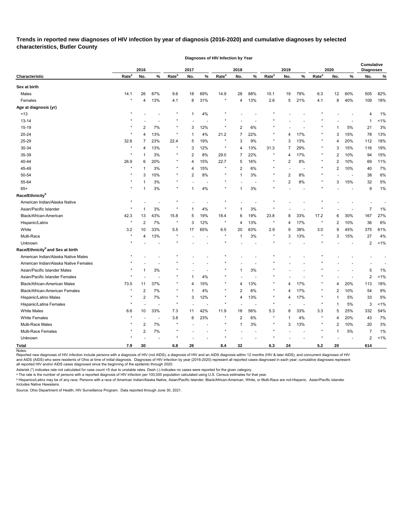**Trends in reported new diagnoses of HIV infection by year of diagnosis (2016-2020) and cumulative diagnoses by selected characteristics, Butler County** 

**Diagnoses of HIV Infection by Year**

|                                              |                   | 2016           |                |                   | 2017           |     |                   | 2018           |                |                   | 2019           |                          |                   | 2020 |       | <b>Cumulative</b><br><b>Diagnoses</b> |      |
|----------------------------------------------|-------------------|----------------|----------------|-------------------|----------------|-----|-------------------|----------------|----------------|-------------------|----------------|--------------------------|-------------------|------|-------|---------------------------------------|------|
| Characteristic                               | Rate <sup>a</sup> | No.            | %              | Rate <sup>a</sup> | No.            | %   | Rate <sup>a</sup> | No.            | $\%$           | Rate <sup>a</sup> | No.            | %                        | Rate <sup>a</sup> | No.  | %     | No.                                   | $\%$ |
| Sex at birth                                 |                   |                |                |                   |                |     |                   |                |                |                   |                |                          |                   |      |       |                                       |      |
| Males                                        | 14.1              | 26             | 87%            | 9.6               | 18             | 69% | 14.9              | 28             | 88%            | 10.1              | 19             | 79%                      | 6.3               | 12   | 60%   | 505                                   | 82%  |
| Females                                      | $\star$           | 4              | 13%            | 4.1               | 8              | 31% |                   | 4              | 13%            | 2.6               | 5              | 21%                      | 4.1               | 8    | 40%   | 109                                   | 18%  |
| Age at diagnosis (yr)                        |                   |                |                |                   |                |     |                   |                |                |                   |                |                          |                   |      |       |                                       |      |
| < 13                                         |                   |                |                | $\star$           | $\overline{1}$ | 4%  |                   |                |                |                   |                |                          |                   |      |       | 4                                     | 1%   |
| $13 - 14$                                    |                   |                |                |                   |                |     |                   |                |                |                   |                |                          |                   |      |       | -1                                    | 1%   |
| 15-19                                        |                   | 2              | 7%             | $^\star$          | 3              | 12% | $\ast$            | 2              | 6%             |                   |                |                          |                   |      | 5%    | 21                                    | 3%   |
| 20-24                                        | $\star$           | 4              | 13%            | $\star$           |                | 4%  | 21.2              | 7              | 22%            |                   | 4              | 17%                      |                   | 3    | 15%   | 78                                    | 13%  |
| 25-29                                        | 32.6              |                | 23%            | 22.4              | 5              | 19% | $\star$           | 3              | 9%             | $\star$           | 3              | 13%                      |                   | 4    | 20%   | 112                                   | 18%  |
| 30-34                                        |                   | 4              | 13%            | $\star$           | 3              | 12% |                   | 4              | 13%            | 31.3              | 7              | 29%                      |                   | 3    | 15%   | 116                                   | 19%  |
| 35-39                                        |                   |                | 3%             | $\star$           | $\overline{c}$ | 8%  | 29.0              | 7              | 22%            |                   | 4              | 17%                      |                   | 2    | 10%   | 94                                    | 15%  |
| 40-44                                        | 26.9              | 6              | 20%            | $^\ast$           | 4              | 15% | 22.7              | 5              | 16%            |                   | 2              | 8%                       |                   | 2    | 10%   | 69                                    | 11%  |
| 45-49                                        |                   |                | 3%             | $\star$           | 4              | 15% |                   | 2              | 6%             |                   |                |                          | $^\ast$           | 2    | 10%   | 40                                    | 7%   |
| 50-54                                        |                   | 3              | 10%            | $\star$           | $\overline{2}$ | 8%  |                   | 1              | 3%             |                   | $\overline{2}$ | 8%                       |                   |      |       | 38                                    | 6%   |
| 55-64                                        |                   |                | 3%             | $\star$           |                |     |                   |                |                |                   | 2              | 8%                       |                   | 3    | 15%   | 32                                    | 5%   |
| $65+$                                        |                   |                | 3%             | $\star$           | 1              | 4%  |                   | 1              | 3%             |                   |                |                          |                   |      |       | 9                                     | 1%   |
| Race/Ethnicity <sup>b</sup>                  |                   |                |                |                   |                |     |                   |                |                |                   |                |                          |                   |      |       |                                       |      |
| American Indian/Alaska Native                |                   |                |                |                   |                |     |                   |                |                |                   |                |                          |                   |      |       |                                       |      |
| Asian/Pacific Islander                       |                   |                | 3%             |                   |                | 4%  |                   |                | 3%             |                   |                |                          |                   |      |       | 7                                     | 1%   |
| Black/African-American                       | 42.3              | 13             | 43%            | 15.8              | 5              | 19% | 18.4              | 6              | 19%            | 23.8              | 8              | 33%                      | 17.2              | 6    | 30%   | 167                                   | 27%  |
| Hispanic/Latinx                              |                   | $\overline{2}$ | 7%             | $\star$           | 3              | 12% | $\star$           | 4              | 13%            |                   | 4              | 17%                      | $\ast$            | 2    | 10%   | 36                                    | 6%   |
| White                                        | 3.2               | 10             | 33%            | 5.5               | 17             | 65% | 6.5               | 20             | 63%            | 2.9               | 9              | 38%                      | 3.0               | 9    | 45%   | 375                                   | 61%  |
| Multi-Race                                   | $\star$           | 4              | 13%            | $\star$           |                |     | $\ast$            | 1              | 3%             |                   | 3              | 13%                      | $\ast$            | 3    | 15%   | 27                                    | 4%   |
| Unknown                                      |                   |                |                |                   |                |     |                   |                |                |                   |                |                          |                   |      |       | 2                                     | 1%   |
| Race/Ethnicity <sup>b</sup> and Sex at birth |                   |                |                |                   |                |     |                   |                |                |                   |                |                          |                   |      |       |                                       |      |
| American Indian/Alaska Native Males          |                   |                |                |                   |                |     |                   |                |                |                   |                |                          |                   |      |       |                                       |      |
| American Indian/Alaska Native Females        |                   |                |                |                   |                |     |                   |                |                |                   |                |                          |                   |      |       |                                       |      |
| Asian/Pacific Islander Males                 |                   |                | 3%             |                   |                |     |                   | 1              | $3%$           |                   |                |                          |                   |      |       | 5                                     | 1%   |
| Asian/Pacific Islander Females               |                   |                |                |                   |                | 4%  |                   |                |                |                   |                |                          |                   |      |       | $\overline{2}$                        | 1%   |
| Black/African-American Males                 | 73.5              | 11             | 37%            |                   | 4              | 15% |                   | 4              | 13%            |                   | 4              | 17%                      |                   | 4    | 20%   | 113                                   | 18%  |
| Black/African-American Females               |                   | $\overline{2}$ | 7%             |                   | 1              | 4%  |                   | 2              | 6%             |                   | 4              | 17%                      |                   | 2    | 10%   | 54                                    | 9%   |
| Hispanic/Latino Males                        |                   | 2              | $7\%$          | $\star$           | 3              | 12% |                   | 4              | 13%            | $\star$           | 4              | 17%                      |                   | 1    | $5\%$ | 33                                    | 5%   |
| Hispanic/Latina Females                      |                   |                |                | $\star$           |                |     | $\star$           |                |                | $\star$           |                | $\overline{\phantom{a}}$ | $\star$           | 1    | $5\%$ | 3                                     | 1%   |
| <b>White Males</b>                           | 6.6               | 10             | 33%            | 7.3               | 11             | 42% | 11.9              | 18             | 56%            | 5.3               | 8              | 33%                      | 3.3               | 5    | 25%   | 332                                   | 54%  |
| <b>White Females</b>                         | $\star$           |                | $\blacksquare$ | $3.8\,$           | 6              | 23% |                   | $\overline{c}$ | 6%             |                   | 1              | 4%                       |                   | 4    | 20%   | 43                                    | 7%   |
| Multi-Race Males                             |                   | 2              | 7%             | $\star$           |                |     |                   | $\mathbf 1$    | 3%             |                   | 3              | 13%                      |                   | 2    | 10%   | 20                                    | 3%   |
| Multi-Race Females                           |                   | 2              | 7%             | $\star$           |                |     |                   |                | $\overline{a}$ |                   |                | $\blacksquare$           | $\star$           | 1    | $5\%$ | 7                                     | 1%   |
| Unknown                                      |                   |                |                |                   |                |     |                   |                |                |                   |                |                          |                   |      |       | 2                                     | 1%   |
| <b>Total</b>                                 | 7.9               | 30             |                | $\bf6.8$          | 26             |     | 8.4               | 32             |                | 6.3               | 24             |                          | $5.2$             | 20   |       | 614                                   |      |

Notes:

Reported new diagnoses of HIV infection include persons with a diagnosis of HIV (not AIDS), a diagnosis of HIV and an AIDS diagnosis within 12 months (HIV & later AIDS), and concurrent diagnoses of HIV and AIDS (AIDS) who were residents of Ohio at time of initial diagnosis. Diagnoses of HIV infection by year (2016-2020) represent all reported cases diagnosed in each year; cumulative diagnoses represent all reported HIV and/or AIDS cases diagnosed since the beginning of the epidemic through 2020.

Asterisk (\*) indicates rate not calculated for case count <5 due to unstable rates. Dash (-) indicates no cases were reported for the given category.

ᵃ The rate is the number of persons with a reported diagnosis of HIV infection per 100,000 population calculated using U.S. Census estimates for that year.

<sup>ь</sup> Hispanics/Latinx may be of any race. Persons with a race of American Indian/Alaska Native, Asian/Pacific Islander, Black/African-American, White, or Multi-Race are not-Hispanic. Asian/Pacific Islander includes Native Hawaiians.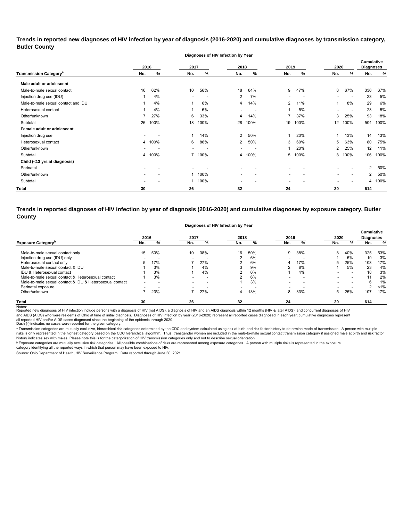**Trends in reported new diagnoses of HIV infection by year of diagnosis (2016-2020) and cumulative diagnoses by transmission category, Butler County**

**Diagnoses of HIV Infection by Year**

|                                          |                          | 2016   | 2017           |                          | 2018                     |      | 2019                     |      | 2020 |                          | <b>Cumulative</b><br><b>Diagnoses</b> |      |
|------------------------------------------|--------------------------|--------|----------------|--------------------------|--------------------------|------|--------------------------|------|------|--------------------------|---------------------------------------|------|
| <b>Transmission Category<sup>a</sup></b> | No.                      | %      | No.            | %                        | No.                      | %    | No.                      | ℅    | No.  | %                        | No.                                   | $\%$ |
| Male adult or adolescent                 |                          |        |                |                          |                          |      |                          |      |      |                          |                                       |      |
| Male-to-male sexual contact              | 16                       | 62%    | 10             | 56%                      | 18                       | 64%  | 9                        | 47%  | 8    | 67%                      | 336                                   | 67%  |
| Injection drug use (IDU)                 |                          | 4%     |                | $\overline{\phantom{a}}$ | $\overline{2}$           | 7%   |                          |      |      | $\overline{\phantom{a}}$ | 23                                    | 5%   |
| Male-to-male sexual contact and IDU      |                          | 4%     |                | 6%                       | 4                        | 14%  | $\overline{2}$           | 11%  |      | 8%                       | 29                                    | 6%   |
| Heterosexual contact                     |                          | 4%     |                | 6%                       | $\overline{\phantom{a}}$ |      |                          | 5%   |      |                          | 23                                    | 5%   |
| Other/unknown                            |                          | 27%    | 6              | 33%                      | 4                        | 14%  | 7                        | 37%  | 3    | 25%                      | 93                                    | 18%  |
| Subtotal                                 | 26                       | 100%   | 18             | 100%                     | 28                       | 100% | 19                       | 100% | 12   | 100%                     | 504                                   | 100% |
| Female adult or adolescent               |                          |        |                |                          |                          |      |                          |      |      |                          |                                       |      |
| Injection drug use                       |                          |        |                | 14%                      | $\overline{2}$           | 50%  |                          | 20%  |      | 13%                      | 14                                    | 13%  |
| Heterosexual contact                     |                          | 4 100% | 6              | 86%                      | $\overline{2}$           | 50%  | 3                        | 60%  | 5    | 63%                      | 80                                    | 75%  |
| Other/unknown                            |                          |        |                |                          | $\overline{\phantom{0}}$ |      | 1                        | 20%  | 2    | 25%                      | 12                                    | 11%  |
| Subtotal                                 | 4                        | 100%   | $\overline{7}$ | 100%                     | 4                        | 100% | 5                        | 100% | 8    | 100%                     | 106                                   | 100% |
| Child (<13 yrs at diagnosis)             |                          |        |                |                          |                          |      |                          |      |      |                          |                                       |      |
| Perinatal                                | $\overline{\phantom{0}}$ |        |                |                          | $\overline{\phantom{0}}$ |      |                          |      |      |                          | $\overline{2}$                        | 50%  |
| Other/unknown                            |                          |        |                | 100%                     | -                        |      |                          |      |      | $\overline{\phantom{0}}$ | $\overline{2}$                        | 50%  |
| Subtotal                                 |                          |        |                | 100%                     |                          |      | $\overline{\phantom{0}}$ |      |      |                          | 4                                     | 100% |
| <b>Total</b>                             | 30                       |        | 26             |                          | 32                       |      | 24                       |      | 20   |                          | 614                                   |      |

**Trends in reported diagnoses of HIV infection by year of diagnosis (2016-2020) and cumulative diagnoses by exposure category, Butler County**

|  | Diagnoses of HIV Infection by Year |
|--|------------------------------------|
|--|------------------------------------|

|                                                          | 2016 |     | 2017                     |                          | 2018                     |                          | 2019                     |     | 2020 |     | <b>Cumulative</b><br><b>Diagnoses</b> |     |
|----------------------------------------------------------|------|-----|--------------------------|--------------------------|--------------------------|--------------------------|--------------------------|-----|------|-----|---------------------------------------|-----|
| <b>Exposure Category</b>                                 | No.  | %   | No.                      | %                        | No.                      | %                        | No.                      | %   | No.  | %   | No.                                   | %   |
| Male-to-male sexual contact only                         | 15   | 50% | 10                       | 38%                      | 16                       | 50%                      | 9                        | 38% | 8    | 40% | 325                                   | 53% |
| Injection drug use (IDU) only                            |      |     | $\overline{\phantom{0}}$ |                          | ົ                        | 6%                       | $\overline{\phantom{0}}$ |     |      | 5%  | 19                                    | 3%  |
| Heterosexual contact only                                |      | 17% |                          | 27%                      | ົ                        | 6%                       |                          | 17% |      | 25% | 103                                   | 17% |
| Male-to-male sexual contact & IDU                        |      | 3%  |                          | 4%                       | c                        | 9%                       | ົ                        | 8%  |      | 5%  | 23                                    | 4%  |
| IDU & Heterosexual contact                               |      | 3%  |                          | 4%                       | ົ                        | 6%                       |                          | 4%  |      |     | 18                                    | 3%  |
| Male-to-male sexual contact & Heterosexual contact       |      | 3%  | $\overline{\phantom{0}}$ | $\overline{\phantom{a}}$ | ົ                        | 6%                       |                          |     |      |     | 11                                    | 2%  |
| Male-to-male sexual contact & IDU & Heterosexual contact |      |     |                          | $\overline{\phantom{0}}$ |                          | 3%                       |                          |     |      |     |                                       | 1%  |
| Perinatal exposure                                       | -    |     | $\overline{\phantom{0}}$ | -                        | $\overline{\phantom{0}}$ | $\overline{\phantom{0}}$ |                          |     |      |     |                                       | 1%  |
| Other/unknown                                            |      | 23% |                          | 27%                      | 4                        | 13%                      | 8                        | 33% |      | 25% | 107                                   | 17% |
| <b>Total</b>                                             | 30   |     | 26                       |                          | 32                       |                          | 24                       |     | 20   |     | 614                                   |     |

Notes:<br>Reported new diagnoses of HIV infection include persons with a diagnosis of HIV (not AIDS), a diagnosis addignosis of HIDS diagnosis within 12 months (HIV & later AIDS), and concurrent diagnoses of HIV all reported HIV and/or AIDS cases diagnosed since the beginning of the epidemic through 2020.<br>Dash (-) indicates no cases were reported for the given category. and AIDS (AIDS) who were residents of Ohio at time of initial diagnosis. Diagnoses of HIV infection by year (2016-2020) represent all reported cases diagnosed in each year; cumulative diagnoses represent

a Transmission categories are mutually exclusive, hierarchical risk categories determined by the CDC and system-calculated using sex at birth and risk factor history to determine mode of transmission. A person with multip risks is only represented in the highest category based on the CDC hierarchical algorithm. Thus, transgender women are included in the male-to-male sexual contact transmission category if assigned male at birth and risk fa history indicates sex with males. Please note this is for the categorization of HIV transmission categories only and not to describe sexual orientation.

 $^{\rm b}$  Exposure categories are mutually exclusive risk categories. All possible combinations of risks are represented among exposure categories. A person with multiple risks is represented in the exposure

category identifying all the reported ways in which that person may have been exposed to HIV. Source: Ohio Department of Health, HIV Surveillance Program. Data reported through June 30, 2021.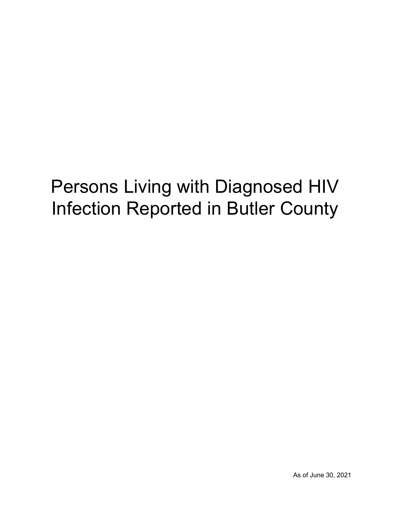# Persons Living with Diagnosed HIV Infection Reported in Butler County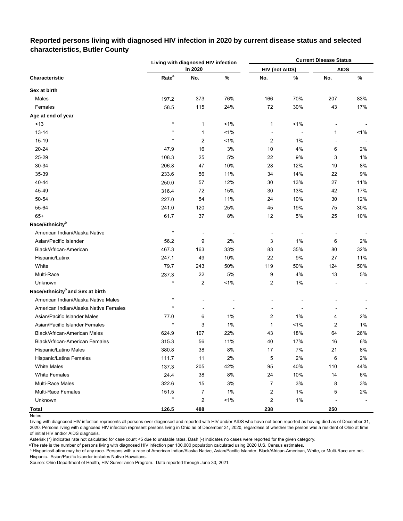|                                              |                   | Living with diagnosed HIV infection |         |                       |       | <b>Current Disease Status</b> |       |
|----------------------------------------------|-------------------|-------------------------------------|---------|-----------------------|-------|-------------------------------|-------|
|                                              |                   | in 2020                             |         | <b>HIV (not AIDS)</b> |       | <b>AIDS</b>                   |       |
| Characteristic                               | Rate <sup>a</sup> | No.                                 | %       | No.                   | %     | No.                           | $\%$  |
| Sex at birth                                 |                   |                                     |         |                       |       |                               |       |
| Males                                        | 197.2             | 373                                 | 76%     | 166                   | 70%   | 207                           | 83%   |
| Females                                      | 58.5              | 115                                 | 24%     | 72                    | 30%   | 43                            | 17%   |
| Age at end of year                           |                   |                                     |         |                       |       |                               |       |
| < 13                                         | $\star$           | 1                                   | 1%      | 1                     | 1%    |                               |       |
| $13 - 14$                                    | $\star$           | 1                                   | 1%      |                       |       | 1                             | 1%    |
| 15-19                                        | $\star$           | 2                                   | 1%      | $\overline{c}$        | 1%    |                               |       |
| 20-24                                        | 47.9              | 16                                  | 3%      | 10                    | 4%    | 6                             | 2%    |
| 25-29                                        | 108.3             | 25                                  | 5%      | 22                    | 9%    | 3                             | 1%    |
| 30-34                                        | 206.8             | 47                                  | 10%     | 28                    | 12%   | 19                            | 8%    |
| 35-39                                        | 233.6             | 56                                  | 11%     | 34                    | 14%   | 22                            | 9%    |
| 40-44                                        | 250.0             | 57                                  | 12%     | 30                    | 13%   | 27                            | 11%   |
| 45-49                                        | 316.4             | 72                                  | 15%     | 30                    | 13%   | 42                            | 17%   |
| 50-54                                        | 227.0             | 54                                  | 11%     | 24                    | 10%   | 30                            | 12%   |
| 55-64                                        | 241.0             | 120                                 | 25%     | 45                    | 19%   | 75                            | 30%   |
| $65+$                                        | 61.7              | 37                                  | 8%      | 12                    | 5%    | 25                            | 10%   |
| Race/Ethnicity <sup>b</sup>                  |                   |                                     |         |                       |       |                               |       |
| American Indian/Alaska Native                | $\star$           | ÷                                   |         |                       |       |                               |       |
| Asian/Pacific Islander                       | 56.2              | 9                                   | 2%      | 3                     | 1%    | 6                             | 2%    |
| Black/African-American                       | 467.3             | 163                                 | 33%     | 83                    | 35%   | 80                            | 32%   |
| Hispanic/Latinx                              | 247.1             | 49                                  | 10%     | 22                    | 9%    | 27                            | 11%   |
| White                                        | 79.7              | 243                                 | 50%     | 119                   | 50%   | 124                           | 50%   |
| Multi-Race                                   | 237.3             | 22                                  | 5%      | 9                     | 4%    | 13                            | 5%    |
| Unknown                                      | $\star$           | $\overline{c}$                      | $< 1\%$ | $\overline{c}$        | 1%    |                               |       |
| Race/Ethnicity <sup>b</sup> and Sex at birth |                   |                                     |         |                       |       |                               |       |
| American Indian/Alaska Native Males          | $\star$           |                                     |         |                       |       |                               |       |
| American Indian/Alaska Native Females        | $\star$           | $\overline{a}$                      |         |                       |       |                               |       |
| Asian/Pacific Islander Males                 | 77.0              | 6                                   | $1\%$   | 2                     | 1%    | 4                             | 2%    |
| Asian/Pacific Islander Females               |                   | 3                                   | 1%      | 1                     | 1%    | 2                             | 1%    |
| Black/African-American Males                 | 624.9             | 107                                 | 22%     | 43                    | 18%   | 64                            | 26%   |
| Black/African-American Females               | 315.3             | 56                                  | 11%     | 40                    | 17%   | $16\,$                        | $6\%$ |
| Hispanic/Latino Males                        | 380.8             | 38                                  | 8%      | 17                    | 7%    | 21                            | 8%    |
| Hispanic/Latina Females                      | 111.7             | 11                                  | 2%      | 5                     | $2\%$ | 6                             | 2%    |
| <b>White Males</b>                           | 137.3             | 205                                 | 42%     | 95                    | 40%   | 110                           | 44%   |
| <b>White Females</b>                         | 24.4              | 38                                  | 8%      | 24                    | 10%   | 14                            | 6%    |
| <b>Multi-Race Males</b>                      | 322.6             | 15                                  | 3%      | 7                     | 3%    | 8                             | 3%    |
| Multi-Race Females                           | 151.5             | $\overline{7}$                      | $1\%$   | $\overline{c}$        | 1%    | 5                             | 2%    |
| Unknown                                      | $\star$           | 2                                   | 1%      | $\overline{c}$        | 1%    |                               |       |
| <b>Total</b>                                 | 126.5             | 488                                 |         | 238                   |       | 250                           |       |

## **Reported persons living with diagnosed HIV infection in 2020 by current disease status and selected characteristics, Butler County**

Notes:

Living with diagnosed HIV infection represents all persons ever diagnosed and reported with HIV and/or AIDS who have not been reported as having died as of December 31, 2020. Persons living with diagnosed HIV infection represent persons living in Ohio as of December 31, 2020, regardless of whether the person was a resident of Ohio at time of initial HIV and/or AIDS diagnosis.

Asterisk (\*) indicates rate not calculated for case count <5 due to unstable rates. Dash (-) indicates no cases were reported for the given category.

a The rate is the number of persons living with diagnosed HIV infection per 100,000 population calculated using 2020 U.S. Census estimates.

ᵇ Hispanics/Latinx may be of any race. Persons with a race of American Indian/Alaska Native, Asian/Pacific Islander, Black/African-American, White, or Multi-Race are not-Hispanic. Asian/Pacific Islander includes Native Hawaiians.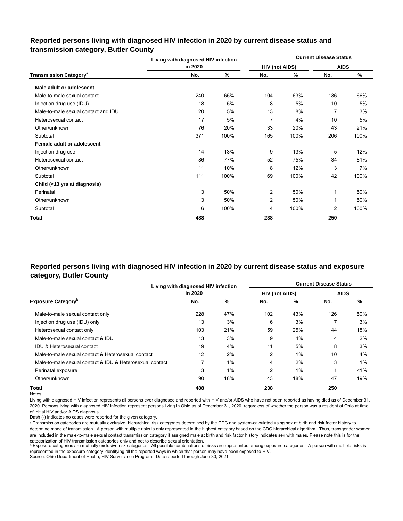## **Reported persons living with diagnosed HIV infection in 2020 by current disease status and transmission category, Butler County**

|                                          | Living with diagnosed HIV infection |      |                       |      | <b>Current Disease Status</b> |      |
|------------------------------------------|-------------------------------------|------|-----------------------|------|-------------------------------|------|
|                                          | in 2020                             |      | <b>HIV (not AIDS)</b> |      | <b>AIDS</b>                   |      |
| <b>Transmission Category<sup>a</sup></b> | No.                                 | %    | No.                   | %    | No.                           | %    |
| Male adult or adolescent                 |                                     |      |                       |      |                               |      |
| Male-to-male sexual contact              | 240                                 | 65%  | 104                   | 63%  | 136                           | 66%  |
| Injection drug use (IDU)                 | 18                                  | 5%   | 8                     | 5%   | 10                            | 5%   |
| Male-to-male sexual contact and IDU      | 20                                  | 5%   | 13                    | 8%   | 7                             | 3%   |
| Heterosexual contact                     | 17                                  | 5%   | $\overline{7}$        | 4%   | 10                            | 5%   |
| Other/unknown                            | 76                                  | 20%  | 33                    | 20%  | 43                            | 21%  |
| Subtotal                                 | 371                                 | 100% | 165                   | 100% | 206                           | 100% |
| Female adult or adolescent               |                                     |      |                       |      |                               |      |
| Injection drug use                       | 14                                  | 13%  | 9                     | 13%  | 5                             | 12%  |
| Heterosexual contact                     | 86                                  | 77%  | 52                    | 75%  | 34                            | 81%  |
| Other/unknown                            | 11                                  | 10%  | 8                     | 12%  | 3                             | 7%   |
| Subtotal                                 | 111                                 | 100% | 69                    | 100% | 42                            | 100% |
| Child (<13 yrs at diagnosis)             |                                     |      |                       |      |                               |      |
| Perinatal                                | 3                                   | 50%  | 2                     | 50%  | 1                             | 50%  |
| Other/unknown                            | 3                                   | 50%  | 2                     | 50%  | 1                             | 50%  |
| Subtotal                                 | 6                                   | 100% | 4                     | 100% | 2                             | 100% |
| Total                                    | 488                                 |      | 238                   |      | 250                           |      |

## **Reported persons living with diagnosed HIV infection in 2020 by current disease status and exposure category, Butler County**

|                                                          | Living with diagnosed HIV infection |       | <b>Current Disease Status</b> |     |             |       |  |  |  |  |
|----------------------------------------------------------|-------------------------------------|-------|-------------------------------|-----|-------------|-------|--|--|--|--|
|                                                          | in 2020                             |       | <b>HIV (not AIDS)</b>         |     | <b>AIDS</b> |       |  |  |  |  |
| <b>Exposure Category</b> <sup>b</sup>                    | No.                                 | %     | No.                           | %   | No.         | %     |  |  |  |  |
| Male-to-male sexual contact only                         | 228                                 | 47%   | 102                           | 43% | 126         | 50%   |  |  |  |  |
| Injection drug use (IDU) only                            | 13                                  | 3%    | 6                             | 3%  |             | 3%    |  |  |  |  |
| Heterosexual contact only                                | 103                                 | 21%   | 59                            | 25% | 44          | 18%   |  |  |  |  |
| Male-to-male sexual contact & IDU                        | 13                                  | 3%    | 9                             | 4%  | 4           | 2%    |  |  |  |  |
| <b>IDU &amp; Heterosexual contact</b>                    | 19                                  | 4%    | 11                            | 5%  | 8           | 3%    |  |  |  |  |
| Male-to-male sexual contact & Heterosexual contact       | 12                                  | 2%    | $\overline{2}$                | 1%  | 10          | 4%    |  |  |  |  |
| Male-to-male sexual contact & IDU & Heterosexual contact | 7                                   | $1\%$ | 4                             | 2%  | 3           | 1%    |  |  |  |  |
| Perinatal exposure                                       | 3                                   | 1%    | $\overline{2}$                | 1%  |             | $1\%$ |  |  |  |  |
| Other/unknown                                            | 90                                  | 18%   | 43                            | 18% | 47          | 19%   |  |  |  |  |
| Total                                                    | 488                                 |       | 238                           |     | 250         |       |  |  |  |  |

Notes:

Living with diagnosed HIV infection represents all persons ever diagnosed and reported with HIV and/or AIDS who have not been reported as having died as of December 31, 2020. Persons living with diagnosed HIV infection represent persons living in Ohio as of December 31, 2020, regardless of whether the person was a resident of Ohio at time of initial HIV and/or AIDS diagnosis.

Dash (-) indicates no cases were reported for the given category.

a Transmission categories are mutually exclusive, hierarchical risk categories determined by the CDC and system-calculated using sex at birth and risk factor history to determine mode of transmission. A person with multiple risks is only represented in the highest category based on the CDC hierarchical algorithm. Thus, transgender women are included in the male-to-male sexual contact transmission category if assigned male at birth and risk factor history indicates sex with males. Please note this is for the categorization of HIV transmission categories only and not to describe sexual orientation.

**b** Exposure categories are mutually exclusive risk categories. All possible combinations of risks are represented among exposure categories. A person with multiple risks is represented in the exposure category identifying all the reported ways in which that person may have been exposed to HIV.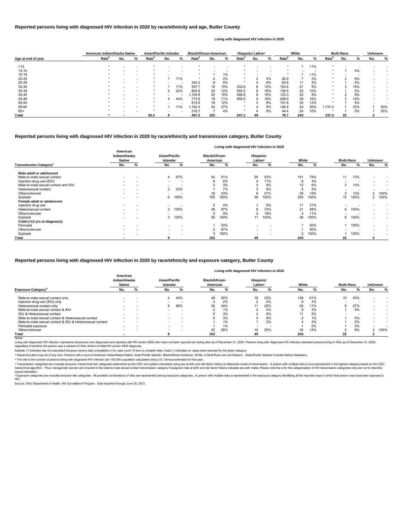|                    |                   | American Indian/Alaska Native |                          |                   | <b>Asian/Pacific Islander</b> |                          |                   | <b>Black/African-American</b> |       |                   | Hispanic/ Latinx <sup>a</sup> |     |                   | White |       |                   | <b>Multi-Race</b> |     |     | <b>Unknown</b> |  |
|--------------------|-------------------|-------------------------------|--------------------------|-------------------|-------------------------------|--------------------------|-------------------|-------------------------------|-------|-------------------|-------------------------------|-----|-------------------|-------|-------|-------------------|-------------------|-----|-----|----------------|--|
| Age at end of year | Rate <sup>b</sup> | No.                           | %                        | Rate <sup>r</sup> | No.                           | %                        | Rate <sup>p</sup> | No.                           | %     | Rate <sup>r</sup> | No.                           | %   | Rate <sup>r</sup> | No.   | ℅     | Rate <sup>'</sup> | No.               |     | No. | %              |  |
| ~13                |                   |                               |                          |                   |                               |                          |                   |                               |       |                   |                               |     |                   |       | 1%    |                   |                   |     |     |                |  |
| $13 - 14$          |                   |                               |                          |                   |                               |                          |                   |                               |       |                   |                               |     |                   |       |       |                   |                   | 5%  |     |                |  |
| $15 - 19$          |                   |                               |                          |                   |                               |                          |                   |                               | $1\%$ |                   |                               |     |                   |       | $1\%$ | *                 |                   |     |     |                |  |
| $20 - 24$          |                   |                               |                          |                   |                               | 1%                       |                   |                               | 2%    |                   |                               | 4%  | 26.9              |       | 3%    |                   |                   | 9%  |     |                |  |
| 25-29              |                   |                               |                          |                   |                               |                          | 342.3             |                               | 6%    |                   |                               | 8%  | 63.6              | 11    | 5%    |                   |                   | 5%  |     |                |  |
| 30-34              |                   |                               |                          |                   |                               | 11%                      | 597.7             | 16                            | 10%   | 434.8             | 6                             | 12% | 124.6             | 21    | 9%    |                   |                   | 14% |     |                |  |
| 35-39              |                   |                               | $\overline{\phantom{0}}$ |                   |                               | 22%                      | 805.8             | 20                            | 12%   | 550.2             | 8                             | 16% | 136.5             | 25    | 10%   | - *               |                   | 5%  |     |                |  |
| 40-44              |                   |                               |                          |                   |                               | $\overline{\phantom{a}}$ | ,100.8            | 25                            | 15%   | 596.6             | 8                             | 16% | 123.3             | 22    | 9%    |                   |                   | 9%  |     |                |  |
| 45-49              |                   |                               | $\overline{\phantom{0}}$ |                   | 4                             | 44%                      | 773.9             | 18                            | 11%   | 958.5             | 9                             | 18% | 208.9             | 38    | 16%   | $\star$           |                   | 14% |     |                |  |
| 50-54              |                   |                               |                          |                   |                               |                          | 913.9             | 19                            | 12%   |                   |                               | 8%  | 151.6             | 30    | 12%   |                   |                   | 5%  |     |                |  |
| 55-64              |                   |                               | $\overline{\phantom{0}}$ |                   |                               | $1\%$                    | .192.4            | 44                            | 27%   |                   |                               | 8%  | 146.4             | 63    | 26%   | 1.737.0           |                   | 32% |     | 50%            |  |
| $65+$              |                   |                               |                          |                   |                               | $\overline{\phantom{a}}$ | 216.7             |                               | 4%    |                   |                               | 8%  | 44.4              | 24    | 10%   |                   |                   | 5%  |     | 50%            |  |
| <b>Total</b>       |                   |                               |                          | 56.2              |                               |                          | 467.3             | 163                           |       | 247.1             | 49                            |     | 79.7              | 243   |       | 237.3             | 22                |     |     |                |  |

© Transmission categories are mutually exclusive, hierarchical risk categories determined by the CDC and system-calculated using sex at birth and risk factor history to determine mode of transmission. A person with multip hierarchical algorithm. Thus, transgender women are included in the male-to-male sexual contact transmission category if assigned male at birth and risk factor history indicates sex with males. Please note this is for the sexual orientation.

<sup>d</sup> Exposure categories are mutually exclusive risk categories. All possible combinations of risks are represented among exposure categories. A person with multiple risks is represented in the exposure category identifying

|                                          |                                            |                          |                                         |                          |                                   |      |                                  | Living with diagnosed HIV infection in 2020 |       |      |                          |      |                      |                          |
|------------------------------------------|--------------------------------------------|--------------------------|-----------------------------------------|--------------------------|-----------------------------------|------|----------------------------------|---------------------------------------------|-------|------|--------------------------|------|----------------------|--------------------------|
|                                          | American<br>Indian/Alaska<br><b>Native</b> |                          | <b>Asian/Pacific</b><br><b>Islander</b> |                          | <b>Black/African-</b><br>American |      | Hispanic/<br>Latinx <sup>a</sup> |                                             | White |      | <b>Multi-Race</b>        |      | <b>Unknown</b>       |                          |
| <b>Transmission Category<sup>c</sup></b> | No.                                        | %                        | No.                                     | %                        | No.                               | %    | No.                              | %                                           | No.   | %    | No.                      | %    | No.                  | %                        |
| Male adult or adolescent                 |                                            |                          |                                         |                          |                                   |      |                                  |                                             |       |      |                          |      |                      |                          |
| Male-to-male sexual contact              | ۰.                                         | $\overline{\phantom{a}}$ | 4                                       | 67%                      | 54                                | 51%  | 20                               | 53%                                         | 151   | 74%  | 11                       | 73%  |                      | $\overline{\phantom{0}}$ |
| Injection drug use (IDU)                 | $\overline{\phantom{0}}$                   |                          |                                         | $\overline{\phantom{a}}$ | 6                                 | 6%   |                                  | 11%                                         | 8     | 4%   |                          |      |                      |                          |
| Male-to-male sexual contact and IDU      | $\overline{\phantom{0}}$                   | $\overline{\phantom{0}}$ |                                         | $\overline{\phantom{a}}$ |                                   | 3%   | 3                                | 8%                                          | 12    | 6%   | 2                        | 13%  |                      |                          |
| Heterosexual contact                     | ۰.                                         | $\overline{\phantom{a}}$ | $\overline{2}$                          | 33%                      |                                   | 7%   | 3                                | 8%                                          |       | 2%   | $\overline{\phantom{0}}$ |      |                      |                          |
| Other/unknown                            |                                            |                          |                                         |                          | 35                                | 33%  | 8                                | 21%                                         | 29    | 14%  | 2                        | 13%  | 100%<br>2            |                          |
| Subtotal                                 | $\overline{\phantom{a}}$                   | $\overline{\phantom{0}}$ |                                         | 6 100%                   | 105                               | 100% | 38                               | 100%                                        | 205   | 100% | 15                       | 100% | 100%<br>$\mathbf{2}$ |                          |
| Female adult or adolescent               |                                            |                          |                                         |                          |                                   |      |                                  |                                             |       |      |                          |      |                      |                          |
| Injection drug use                       | $\overline{\phantom{0}}$                   |                          |                                         |                          | 2                                 | 4%   |                                  | 9%                                          | 11    | 31%  |                          |      |                      |                          |
| Heterosexual contact                     | $\overline{\phantom{0}}$                   | $\overline{\phantom{a}}$ |                                         | 3 100%                   | 48                                | 87%  | 8                                | 73%                                         | 21    | 58%  | 6                        | 100% |                      |                          |
| Other/unknown                            | $\overline{\phantom{0}}$                   | $\overline{\phantom{a}}$ |                                         | $\overline{\phantom{a}}$ | 5                                 | 9%   | ົ                                | 18%                                         |       | 11%  |                          |      |                      | $\overline{\phantom{a}}$ |
| Subtotal                                 | $\overline{\phantom{0}}$                   | . .                      |                                         | 3 100%                   | 55                                | 100% | 11                               | 100%                                        | 36    | 100% | 6                        | 100% |                      | $\overline{\phantom{0}}$ |
| Child (<13 yrs at diagnosis)             |                                            |                          |                                         |                          |                                   |      |                                  |                                             |       |      |                          |      |                      |                          |
| Perinatal                                | $\overline{\phantom{0}}$                   |                          |                                         |                          |                                   | 33%  | $\overline{\phantom{a}}$         |                                             |       | 50%  |                          | 100% |                      |                          |
| Other/unknown                            | $\overline{\phantom{a}}$                   | $\overline{\phantom{a}}$ | $\sim$                                  | $\overline{\phantom{0}}$ |                                   | 67%  | $\overline{\phantom{a}}$         | $\overline{\phantom{a}}$                    |       | 50%  |                          |      |                      | $\overline{\phantom{0}}$ |
| Subtotal                                 | ٠                                          | $\overline{\phantom{a}}$ | $\overline{\phantom{0}}$                |                          |                                   | 100% | $\overline{\phantom{a}}$         | ۰                                           | 2     | 100% |                          | 100% |                      | $\overline{\phantom{0}}$ |
| <b>Total</b>                             |                                            |                          |                                         |                          | 163                               |      | 49                               |                                             | 243   |      | 22                       |      |                      |                          |

Living with diagnosed HIV infection represents all persons ever diagnosed and reported with HIV and/or AIDS who have not been reported as having died as of December 31, 2020. Persons living with diagnosed HIV infection rep regardless of whether the person was a resident of Ohio at time of initial HIV and/or AIDS diagnosis.

#### Notes:

#### **Reported persons living with diagnosed HIV infection in 2020 by race/ethnicity and transmission category, Butler County**

#### **Reported persons living with diagnosed HIV infection in 2020 by race/ethnicity and age, Butler County**

#### **Living with diagnosed HIV infection in 2020**

#### **Reported persons living with diagnosed HIV infection in 2020 by race/ethnicity and exposure category, Butler County**

#### **Living with diagnosed HIV infection in 2020**

Source: Ohio Department of Health, HIV Surveillance Program. Data reported through June 30, 2021.

|                                                          | American<br>Indian/Alaska<br><b>Native</b> |   |                          | <b>Asian/Pacific</b><br>Islander |     | <b>Black/African-</b><br>American |                          | Hispanic/<br>Latinx <sup>a</sup> |     | White | <b>Multi-Race</b>        | <b>Unknown</b> |     |      |
|----------------------------------------------------------|--------------------------------------------|---|--------------------------|----------------------------------|-----|-----------------------------------|--------------------------|----------------------------------|-----|-------|--------------------------|----------------|-----|------|
| <b>Exposure Category<sup>d</sup></b>                     | No.                                        |   | No.                      |                                  | No. |                                   | No.                      |                                  | No. |       | No.                      | %              | No. | %    |
| Male-to-male sexual contact only                         |                                            |   |                          | 44%                              | 49  | 30%                               | 16                       | 33%                              | 149 | 61%   | 10                       | 45%            |     |      |
| Injection drug use (IDU) only                            | $\sim$                                     | - |                          | -                                |     | 2%                                |                          | 4%                               |     | 3%    | $\overline{\phantom{a}}$ |                |     |      |
| Heterosexual contact only                                |                                            |   | $\mathcal{D}$            | 56%                              | 55  | 34%                               |                          | 22%                              | 26  | 11%   | 6.                       | 27%            |     |      |
| Male-to-male sexual contact & IDU                        |                                            |   |                          |                                  |     | 1%                                |                          | 4%                               |     | 3%    |                          | 5%             |     |      |
| IDU & Heterosexual contact                               | $\sim$                                     | - | $\overline{\phantom{0}}$ | $\overline{\phantom{a}}$         |     | 3%                                |                          | 6%                               |     | 5%    |                          |                |     |      |
| Male-to-male sexual contact & Heterosexual contact       |                                            |   |                          |                                  |     | 3%                                |                          | 8%                               |     | 1%    |                          | 5%             |     |      |
| Male-to-male sexual contact & IDU & Heterosexual contact | $\overline{\phantom{a}}$                   |   |                          | $\overline{\phantom{a}}$         |     | 1%                                |                          | 2%                               |     | 2%    |                          | 5%             |     |      |
| Perinatal exposure                                       | $\sim$                                     |   |                          |                                  |     | $1\%$                             | $\overline{\phantom{0}}$ |                                  |     | 0%    |                          | 5%             |     |      |
| Other/unknown                                            | $\sim$                                     |   |                          |                                  | 42  | 26%                               | 10                       | 20%                              | 34  | 14%   |                          | 9%             |     | 100% |
| Total                                                    |                                            |   |                          |                                  | 163 |                                   | 49                       |                                  | 243 |       | 22                       |                |     |      |

ᵇ The rate is the number of persons living with diagnosed HIV infection per 100,000 population calculated using U.S. Census estimates for that year.

Asterisk (\*) indicates rate not calculated because census data unavailable or for case count <5 due to unstable rates. Dash (-) indicates no cases were reported for the given category.

a Hispanics/Latinx may be of any race. Persons with a race of American Indian/Alaska Native, Asian/Pacific Islander, Black/African-American, White, or Multi-Race are not-Hispanic. Asian/Pacific Islander includes Native Haw

#### HIV.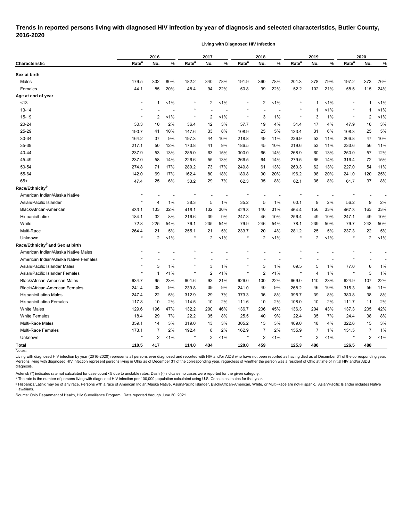## **Trends in reported persons living with diagnosed HIV infection by year of diagnosis and selected characteristics, Butler County, 2016-2020**

**Living with Diagnosed HIV Infection**

| Rate <sup>a</sup><br>Characteristic<br>Sex at birth<br>Males<br>179.5<br>Females<br>44.1<br>Age at end of year<br>$^\star$<br>~13<br>$13 - 14$<br>$\star$<br>15-19<br>$\ast$<br>20-24<br>30.3<br>25-29<br>190.7<br>30-34<br>164.2<br>35-39<br>217.1<br>40-44<br>237.9 | 2016           |       |                   | 2017           |         |                   | 2018 |     | 2019              |                |         | 2020              |                |         |
|-----------------------------------------------------------------------------------------------------------------------------------------------------------------------------------------------------------------------------------------------------------------------|----------------|-------|-------------------|----------------|---------|-------------------|------|-----|-------------------|----------------|---------|-------------------|----------------|---------|
|                                                                                                                                                                                                                                                                       | No.            | %     | Rate <sup>a</sup> | No.            | %       | Rate <sup>a</sup> | No.  | %   | Rate <sup>a</sup> | No.            | %       | Rate <sup>a</sup> | No.            | %       |
|                                                                                                                                                                                                                                                                       |                |       |                   |                |         |                   |      |     |                   |                |         |                   |                |         |
|                                                                                                                                                                                                                                                                       | 332            | 80%   | 182.2             | 340            | 78%     | 191.9             | 360  | 78% | 201.3             | 378            | 79%     | 197.2             | 373            | 76%     |
|                                                                                                                                                                                                                                                                       | 85             | 20%   | 48.4              | 94             | 22%     | 50.8              | 99   | 22% | 52.2              | 102            | 21%     | 58.5              | 115            | 24%     |
|                                                                                                                                                                                                                                                                       |                |       |                   |                |         |                   |      |     |                   |                |         |                   |                |         |
|                                                                                                                                                                                                                                                                       | $\mathbf{1}$   | 1%    |                   | 2              | 1%      | $\star$           | 2    | 1%  | $\ast$            | 1              | $1\%$   |                   | 1              | 1%      |
|                                                                                                                                                                                                                                                                       |                |       | $\star$           |                |         | $\star$           |      |     |                   | 1              | 1%      | $^\ast$           | 1              | 1%      |
|                                                                                                                                                                                                                                                                       | $\overline{2}$ | $1\%$ | $\star$           | 2              | 1%      | $\star$           | 3    | 1%  | $\star$           | 3              | 1%      | $\star$           | 2              | 1%      |
|                                                                                                                                                                                                                                                                       | 10             | 2%    | 36.4              | 12             | 3%      | 57.7              | 19   | 4%  | 51.4              | 17             | 4%      | 47.9              | 16             | 3%      |
|                                                                                                                                                                                                                                                                       | 41             | 10%   | 147.6             | 33             | 8%      | 108.9             | 25   | 5%  | 133.4             | 31             | 6%      | 108.3             | 25             | 5%      |
|                                                                                                                                                                                                                                                                       | 37             | 9%    | 197.3             | 44             | 10%     | 218.8             | 49   | 11% | 236.9             | 53             | 11%     | 206.8             | 47             | 10%     |
|                                                                                                                                                                                                                                                                       | 50             | 12%   | 173.8             | 41             | 9%      | 186.5             | 45   | 10% | 219.6             | 53             | 11%     | 233.6             | 56             | 11%     |
|                                                                                                                                                                                                                                                                       | 53             | 13%   | 285.0             | 63             | 15%     | 300.0             | 66   | 14% | 268.9             | 60             | 13%     | 250.0             | 57             | 12%     |
| 45-49<br>237.0                                                                                                                                                                                                                                                        | 58             | 14%   | 226.6             | 55             | 13%     | 266.5             | 64   | 14% | 279.5             | 65             | 14%     | 316.4             | 72             | 15%     |
| 50-54<br>274.8                                                                                                                                                                                                                                                        | 71             | 17%   | 289.2             | 73             | 17%     | 249.8             | 61   | 13% | 260.3             | 62             | 13%     | 227.0             | 54             | 11%     |
| 55-64<br>142.0                                                                                                                                                                                                                                                        | 69             | 17%   | 162.4             | 80             | 18%     | 180.8             | 90   | 20% | 196.2             | 98             | 20%     | 241.0             | 120            | 25%     |
| $65+$<br>47.4                                                                                                                                                                                                                                                         | 25             | 6%    | 53.2              | 29             | 7%      | 62.3              | 35   | 8%  | 62.1              | 36             | 8%      | 61.7              | 37             | 8%      |
| Race/Ethnicity <sup>b</sup>                                                                                                                                                                                                                                           |                |       |                   |                |         |                   |      |     |                   |                |         |                   |                |         |
| $\star$<br>American Indian/Alaska Native                                                                                                                                                                                                                              |                |       | ×                 |                |         | $\star$           |      |     | $\star$           |                |         |                   |                |         |
| $\star$<br>Asian/Pacific Islander                                                                                                                                                                                                                                     | 4              | 1%    | 38.3              | 5              | 1%      | 35.2              | 5    | 1%  | 60.1              | 9              | 2%      | 56.2              | 9              | 2%      |
| Black/African-American<br>433.1                                                                                                                                                                                                                                       | 133            | 32%   | 416.1             | 132            | 30%     | 429.8             | 140  | 31% | 464.4             | 156            | 33%     | 467.3             | 163            | 33%     |
| 184.1<br>Hispanic/Latinx                                                                                                                                                                                                                                              | 32             | 8%    | 216.6             | 39             | 9%      | 247.3             | 46   | 10% | 256.4             | 49             | 10%     | 247.1             | 49             | 10%     |
| 72.8<br>White                                                                                                                                                                                                                                                         | 225            | 54%   | 76.1              | 235            | 54%     | 79.9              | 246  | 54% | 78.1              | 239            | 50%     | 79.7              | 243            | 50%     |
| Multi-Race<br>264.4                                                                                                                                                                                                                                                   | 21             | 5%    | 255.1             | 21             | 5%      | 233.7             | 20   | 4%  | 281.2             | 25             | 5%      | 237.3             | 22             | 5%      |
| $^\star$<br>Unknown                                                                                                                                                                                                                                                   | 2              | 1%    | $\star$           | 2              | 1%      | $\star$           | 2    | 1%  | $\star$           | $\overline{2}$ | $< 1\%$ |                   | $\overline{2}$ | 1%      |
| Race/Ethnicity <sup>b</sup> and Sex at birth                                                                                                                                                                                                                          |                |       |                   |                |         |                   |      |     |                   |                |         |                   |                |         |
| American Indian/Alaska Native Males                                                                                                                                                                                                                                   |                |       |                   |                |         | $\star$           |      |     |                   |                |         |                   |                |         |
| American Indian/Alaska Native Females                                                                                                                                                                                                                                 |                |       |                   |                |         |                   |      |     |                   |                |         |                   |                |         |
| Asian/Pacific Islander Males                                                                                                                                                                                                                                          | 3              | 1%    |                   | 3              | 1%      |                   | 3    | 1%  | 69.5              | 5              | 1%      | 77.0              | 6              | 1%      |
| $^\star$<br>Asian/Pacific Islander Females                                                                                                                                                                                                                            | $\mathbf 1$    | 1%    |                   | 2              | 1%      | $\star$           | 2    | 1%  | $\star$           | 4              | 1%      |                   | 3              | 1%      |
| <b>Black/African-American Males</b><br>634.7                                                                                                                                                                                                                          | 95             | 23%   | 601.6             | 93             | 21%     | 626.0             | 100  | 22% | 669.0             | 110            | 23%     | 624.9             | 107            | 22%     |
| <b>Black/African-American Females</b><br>241.4                                                                                                                                                                                                                        | 38             | 9%    | 239.8             | 39             | 9%      | 241.0             | 40   | 9%  | 268.2             | 46             | 10%     | 315.3             | 56             | 11%     |
| 247.4<br>Hispanic/Latino Males                                                                                                                                                                                                                                        | 22             | 5%    | 312.9             | 29             | 7%      | 373.3             | 36   | 8%  | 395.7             | 39             | 8%      | 380.8             | 38             | 8%      |
| Hispanic/Latina Females<br>117.8                                                                                                                                                                                                                                      | 10             | $2\%$ | 114.5             | 10             | $2\%$   | 111.6             | 10   | 2%  | 108.0             | 10             | 2%      | 111.7             | 11             | 2%      |
| <b>White Males</b><br>129.6                                                                                                                                                                                                                                           | 196            | 47%   | 132.2             | 200            | 46%     | 136.7             | 206  | 45% | 136.3             | 204            | 43%     | 137.3             | 205            | 42%     |
| <b>White Females</b><br>18.4                                                                                                                                                                                                                                          | 29             | 7%    | 22.2              | 35             | 8%      | 25.5              | 40   | 9%  | 22.4              | 35             | 7%      | 24.4              | 38             | 8%      |
| Multi-Race Males<br>359.1                                                                                                                                                                                                                                             | 14             | 3%    | 319.0             | 13             | 3%      | 305.2             | 13   | 3%  | 409.0             | 18             | 4%      | 322.6             | 15             | 3%      |
| Multi-Race Females<br>173.1                                                                                                                                                                                                                                           | 7              | 2%    | 192.4             | 8              | 2%      | 162.9             | 7    | 2%  | 155.9             | 7              | 1%      | 151.5             | 7              | 1%      |
| $\star$<br>Unknown                                                                                                                                                                                                                                                    | 2              |       |                   |                |         |                   |      |     |                   |                |         |                   |                |         |
| <b>Total</b><br>110.5<br>Notes:                                                                                                                                                                                                                                       |                | $1\%$ | $^\star$          | $\overline{c}$ | $< 1\%$ | $\star$           | 2    | 1%  | $\star$           | 2              | $1\%$   | $\star$           | 2              | $< 1\%$ |

Living with diagnosed HIV infection by year (2016-2020) represents all persons ever diagnosed and reported with HIV and/or AIDS who have not been reported as having died as of December 31 of the corresponding year. Persons living with diagnosed HIV infection represent persons living in Ohio as of December 31 of the corresponding year, regardless of whether the person was a resident of Ohio at time of initial HIV and/or AIDS diagnosis.

Asterisk (\*) indicates rate not calculated for case count <5 due to unstable rates. Dash (-) indicates no cases were reported for the given category.

<sup>a</sup> The rate is the number of persons living with diagnosed HIV infection per 100,000 population calculated using U.S. Census estimates for that year.

ᵇ Hispanics/Latinx may be of any race. Persons with a race of American Indian/Alaska Native, Asian/Pacific Islander, Black/African-American, White, or Multi-Race are not-Hispanic. Asian/Pacific Islander includes Native Hawaiians.